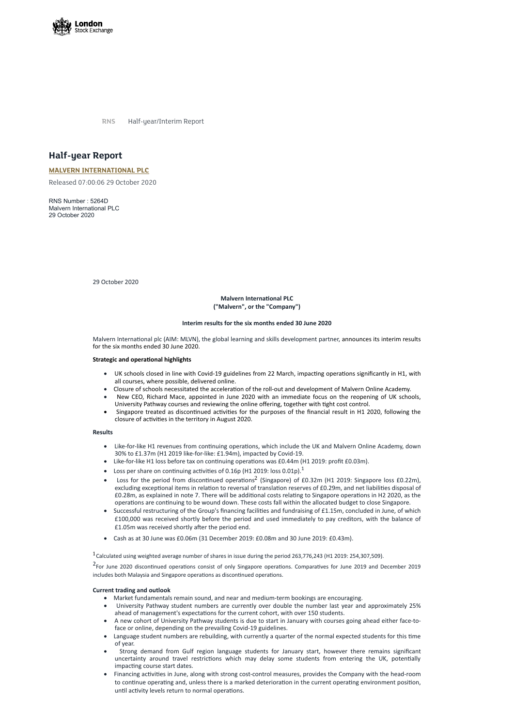

**RNS** Half-year/Interim Report

# **Half-year Report**

## **MALVERN [INTERNATIONAL](https://www.londonstockexchange.com/stock/MLVN/malvern-international-plc) PLC**

Released 07:00:06 29 October 2020

**Malvern International PLC ("Malvern", or the "Company")**

RNS Number : 5264D Malvern International PLC 29 October 2020

29 October 2020

Malvern International plc (AIM: MLVN), the global learning and skills development partner, announces its interim results for the six months ended 30 June 2020.

#### **Strategic and operational highlights**

- UK schools closed in line with Covid-19 guidelines from 22 March, impacting operations significantly in H1, with all courses, where possible, delivered online.
- Closure of schools necessitated the acceleration of the roll-out and development of Malvern Online Academy.
- New CEO, Richard Mace, appointed in June 2020 with an immediate focus on the reopening of UK schools, University Pathway courses and reviewing the online offering, together with tight cost control.
- Singapore treated as discontinued activities for the purposes of the financial result in H1 2020, following the closure of activities in the territory in August 2020.

### **Interim results for the six months ended 30 June 2020**

#### **Results**

- Like-for-like H1 revenues from continuing operations, which include the UK and Malvern Online Academy, down 30% to £1.37m (H1 2019 like-for-like: £1.94m), impacted by Covid-19.
- Like-for-like H1 loss before tax on continuing operations was £0.44m (H1 2019: profit £0.03m).
- Loss per share on continuing activities of 0.16p (H1 2019: loss 0.01p).<sup>1</sup>
- Loss for the period from discontinued operations<sup>2</sup> (Singapore) of £0.32m (H1 2019: Singapore loss £0.22m), excluding exceptional items in relation to reversal of translation reserves of £0.29m, and net liabilities disposal of £0.28m, as explained in note 7. There will be additional costs relating to Singapore operations in H2 2020, as the operations are continuing to be wound down. These costs fall within the allocated budget to close Singapore.
- Successful restructuring of the Group's financing facilities and fundraising of £1.15m, concluded in June, of which £100,000 was received shortly before the period and used immediately to pay creditors, with the balance of £1.05m was received shortly after the period end.
- · Cash as at 30 June was £0.06m (31 December 2019: £0.08m and 30 June 2019: £0.43m).

<sup>1</sup>Calculated using weighted average number of shares in issue during the period 263,776,243 (H1 2019: 254,307,509).

<sup>2</sup> For June 2020 discontinued operations consist of only Singapore operations. Comparatives for June 2019 and December 2019 includes both Malaysia and Singapore operations as discontinued operations.

- · Market fundamentals remain sound, and near and medium-term bookings are encouraging.
- · University Pathway student numbers are currently over double the number last year and approximately 25% ahead of management's expectations for the current cohort, with over 150 students.
- · A new cohort of University Pathway students is due to start in January with courses going ahead either face-toface or online, depending on the prevailing Covid-19 guidelines.
- Language student numbers are rebuilding, with currently a quarter of the normal expected students for this time of year.
- · Strong demand from Gulf region language students for January start, however there remains significant uncertainty around travel restrictions which may delay some students from entering the UK, potentially impacting course start dates.
- Financing activities in June, along with strong cost-control measures, provides the Company with the head-room to continue operating and, unless there is a marked deterioration in the current operating environment position, until activity levels return to normal operations.

#### **Current trading and outlook**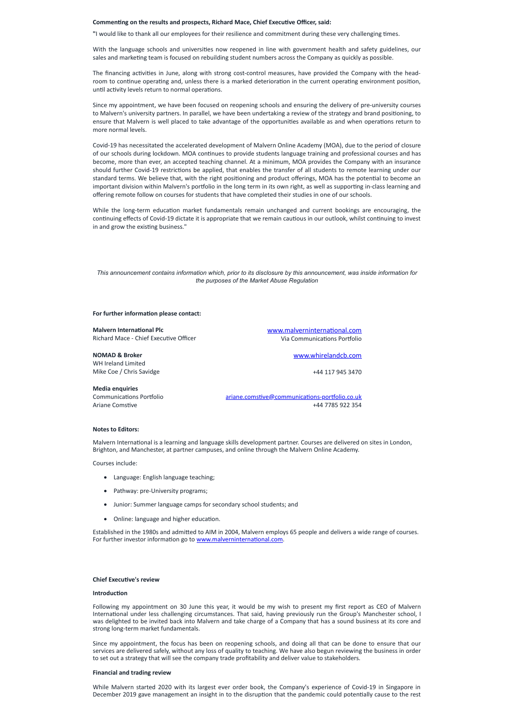#### **Commenng on the results and prospects, Richard Mace, Chief Execuve Officer, said:**

**"**I would like to thank all our employees for their resilience and commitment during these very challenging mes.

With the language schools and universities now reopened in line with government health and safety guidelines, our sales and marketing team is focused on rebuilding student numbers across the Company as quickly as possible.

The financing activities in June, along with strong cost-control measures, have provided the Company with the headroom to continue operating and, unless there is a marked deterioration in the current operating environment position, until activity levels return to normal operations.

Since my appointment, we have been focused on reopening schools and ensuring the delivery of pre-university courses to Malvern's university partners. In parallel, we have been undertaking a review of the strategy and brand positioning, to ensure that Malvern is well placed to take advantage of the opportunities available as and when operations return to more normal levels.

This announcement contains information which, prior to its disclosure by this announcement, was inside information for *the purposes of the Market Abuse Regulation*

#### **For further information please contact:**

Malvern International is a learning and language skills development partner. Courses are delivered on sites in London, Brighton, and Manchester, at partner campuses, and online through the Malvern Online Academy.

- · Language: English language teaching;
- Pathway: pre-University programs;
- · Junior: Summer language camps for secondary school students; and
- Online: language and higher education.

Established in the 1980s and admitted to AIM in 2004, Malvern employs 65 people and delivers a wide range of courses. For further investor information go to www.malverninternational.com.

#### **Chief Executive's review**

#### **Introduction**

Covid-19 has necessitated the accelerated development of Malvern Online Academy (MOA), due to the period of closure of our schools during lockdown. MOA continues to provide students language training and professional courses and has become, more than ever, an accepted teaching channel. At a minimum, MOA provides the Company with an insurance should further Covid-19 restrictions be applied, that enables the transfer of all students to remote learning under our standard terms. We believe that, with the right positioning and product offerings, MOA has the potential to become an important division within Malvern's portfolio in the long term in its own right, as well as supporting in-class learning and offering remote follow on courses for students that have completed their studies in one of our schools.

While the long-term education market fundamentals remain unchanged and current bookings are encouraging, the continuing effects of Covid-19 dictate it is appropriate that we remain cautious in our outlook, whilst continuing to invest in and grow the existing business."

While Malvern started 2020 with its largest ever order book, the Company's experience of Covid-19 in Singapore in December 2019 gave management an insight in to the disruption that the pandemic could potentially cause to the rest

| <b>Malvern International Plc</b>       | www.malverninternational.com                   |
|----------------------------------------|------------------------------------------------|
| Richard Mace - Chief Executive Officer | Via Communications Portfolio                   |
| <b>NOMAD &amp; Broker</b>              | www.whirelandcb.com                            |
| WH Ireland Limited                     |                                                |
| Mike Coe / Chris Savidge               | +44 117 945 3470                               |
| <b>Media enquiries</b>                 |                                                |
| <b>Communications Portfolio</b>        | ariane.comstive@communications-portfolio.co.uk |
| Ariane Comstive                        | +44 7785 922 354                               |
|                                        |                                                |

#### **Notes to Editors:**

Courses include:

Following my appointment on 30 June this year, it would be my wish to present my first report as CEO of Malvern International under less challenging circumstances. That said, having previously run the Group's Manchester school, I was delighted to be invited back into Malvern and take charge of a Company that has a sound business at its core and strong long-term market fundamentals.

Since my appointment, the focus has been on reopening schools, and doing all that can be done to ensure that our services are delivered safely, without any loss of quality to teaching. We have also begun reviewing the business in order to set out a strategy that will see the company trade profitability and deliver value to stakeholders.

#### **Financial and trading review**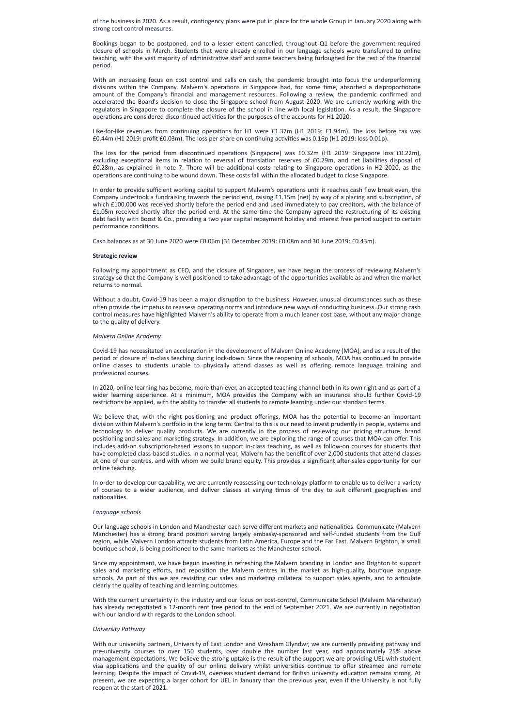of the business in 2020. As a result, contingency plans were put in place for the whole Group in January 2020 along with strong cost control measures.

With an increasing focus on cost control and calls on cash, the pandemic brought into focus the underperforming divisions within the Company. Malvern's operations in Singapore had, for some time, absorbed a disproportionate amount of the Company's financial and management resources. Following a review, the pandemic confirmed and accelerated the Board's decision to close the Singapore school from August 2020. We are currently working with the regulators in Singapore to complete the closure of the school in line with local legislation. As a result, the Singapore operations are considered discontinued activities for the purposes of the accounts for H1 2020.

Like-for-like revenues from continuing operations for H1 were £1.37m (H1 2019: £1.94m). The loss before tax was  $£0.44$ m (H1 2019: profit  $£0.03$ m). The loss per share on continuing activities was  $0.16$ p (H1 2019: loss 0.01p).

The loss for the period from discontinued operations (Singapore) was £0.32m (H1 2019: Singapore loss £0.22m), excluding exceptional items in relation to reversal of translation reserves of £0.29m, and net liabilities disposal of £0.28m, as explained in note 7. There will be additional costs relating to Singapore operations in H2 2020, as the operations are continuing to be wound down. These costs fall within the allocated budget to close Singapore.

In order to provide sufficient working capital to support Malvern's operations until it reaches cash flow break even, the Company undertook a fundraising towards the period end, raising £1.15m (net) by way of a placing and subscription, of which £100,000 was received shortly before the period end and used immediately to pay creditors, with the balance of £1.05m received shortly after the period end. At the same time the Company agreed the restructuring of its existing debt facility with Boost & Co., providing a two year capital repayment holiday and interest free period subject to certain performance conditions.

Bookings began to be postponed, and to a lesser extent cancelled, throughout Q1 before the government-required closure of schools in March. Students that were already enrolled in our language schools were transferred to online teaching, with the vast majority of administrative staff and some teachers being furloughed for the rest of the financial period.

Without a doubt, Covid-19 has been a major disruption to the business. However, unusual circumstances such as these often provide the impetus to reassess operating norms and introduce new ways of conducting business. Our strong cash control measures have highlighted Malvern's ability to operate from a much leaner cost base, without any major change to the quality of delivery.

Covid-19 has necessitated an acceleration in the development of Malvern Online Academy (MOA), and as a result of the period of closure of in-class teaching during lock-down. Since the reopening of schools, MOA has continued to provide online classes to students unable to physically attend classes as well as offering remote language training and professional courses.

In 2020, online learning has become, more than ever, an accepted teaching channel both in its own right and as part of a wider learning experience. At a minimum, MOA provides the Company with an insurance should further Covid-19 restrictions be applied, with the ability to transfer all students to remote learning under our standard terms.

We believe that, with the right positioning and product offerings, MOA has the potential to become an important division within Malvern's portfolio in the long term. Central to this is our need to invest prudently in people, systems and technology to deliver quality products. We are currently in the process of reviewing our pricing structure, brand positioning and sales and marketing strategy. In addition, we are exploring the range of courses that MOA can offer. This includes add-on subscription-based lessons to support in-class teaching, as well as follow-on courses for students that have completed class-based studies. In a normal year, Malvern has the benefit of over 2,000 students that attend classes at one of our centres, and with whom we build brand equity. This provides a significant after-sales opportunity for our online teaching.

In order to develop our capability, we are currently reassessing our technology platform to enable us to deliver a variety of courses to a wider audience, and deliver classes at varying mes of the day to suit different geographies and nationalities.

Cash balances as at 30 June 2020 were £0.06m (31 December 2019: £0.08m and 30 June 2019: £0.43m).

#### **Strategic review**

Following my appointment as CEO, and the closure of Singapore, we have begun the process of reviewing Malvern's strategy so that the Company is well positioned to take advantage of the opportunities available as and when the market returns to normal.

Since my appointment, we have begun investing in refreshing the Malvern branding in London and Brighton to support sales and marketing efforts, and reposition the Malvern centres in the market as high-quality, boutique language schools. As part of this we are revisiting our sales and marketing collateral to support sales agents, and to articulate clearly the quality of teaching and learning outcomes.

#### *Malvern Online Academy*

#### *Language schools*

Our language schools in London and Manchester each serve different markets and nationalities. Communicate (Malvern Manchester) has a strong brand position serving largely embassy-sponsored and self-funded students from the Gulf region, while Malvern London attracts students from Latin America, Europe and the Far East. Malvern Brighton, a small

boutique school, is being positioned to the same markets as the Manchester school.

With the current uncertainty in the industry and our focus on cost-control, Communicate School (Malvern Manchester) has already renegotiated a 12-month rent free period to the end of September 2021. We are currently in negotiation with our landlord with regards to the London school.

*University Pathway*

With our university partners, University of East London and Wrexham Glyndwr, we are currently providing pathway and pre-university courses to over 150 students, over double the number last year, and approximately 25% above management expectations. We believe the strong uptake is the result of the support we are providing UEL with student visa applications and the quality of our online delivery whilst universities continue to offer streamed and remote learning. Despite the impact of Covid-19, overseas student demand for British university education remains strong. At present, we are expecting a larger cohort for UEL in January than the previous year, even if the University is not fully reopen at the start of 2021.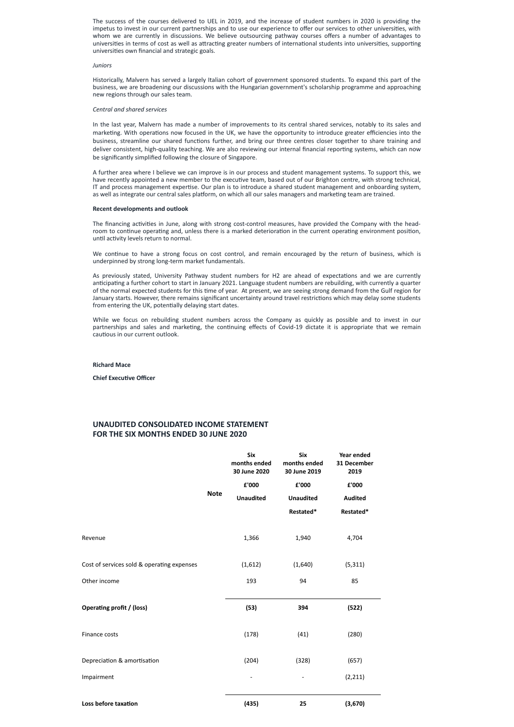The success of the courses delivered to UEL in 2019, and the increase of student numbers in 2020 is providing the impetus to invest in our current partnerships and to use our experience to offer our services to other universities, with whom we are currently in discussions. We believe outsourcing pathway courses offers a number of advantages to universities in terms of cost as well as attracting greater numbers of international students into universities, supporting universities own financial and strategic goals.

#### *Juniors*

Historically, Malvern has served a largely Italian cohort of government sponsored students. To expand this part of the business, we are broadening our discussions with the Hungarian government's scholarship programme and approaching new regions through our sales team.

A further area where I believe we can improve is in our process and student management systems. To support this, we have recently appointed a new member to the executive team, based out of our Brighton centre, with strong technical, IT and process management expertise. Our plan is to introduce a shared student management and onboarding system, as well as integrate our central sales platform, on which all our sales managers and marketing team are trained.

#### *Central and shared services*

In the last year, Malvern has made a number of improvements to its central shared services, notably to its sales and marketing. With operations now focused in the UK, we have the opportunity to introduce greater efficiencies into the business, streamline our shared functions further, and bring our three centres closer together to share training and deliver consistent, high-quality teaching. We are also reviewing our internal financial reporting systems, which can now be significantly simplified following the closure of Singapore.

We continue to have a strong focus on cost control, and remain encouraged by the return of business, which is underpinned by strong long-term market fundamentals.

As previously stated, University Pathway student numbers for H2 are ahead of expectations and we are currently anticipating a further cohort to start in January 2021. Language student numbers are rebuilding, with currently a quarter of the normal expected students for this time of year. At present, we are seeing strong demand from the Gulf region for January starts. However, there remains significant uncertainty around travel restrictions which may delay some students from entering the UK, potentially delaying start dates.

While we focus on rebuilding student numbers across the Company as quickly as possible and to invest in our partnerships and sales and marketing, the continuing effects of Covid-19 dictate it is appropriate that we remain cautious in our current outlook.

#### **Recent developments and outlook**

The financing activities in June, along with strong cost-control measures, have provided the Company with the headroom to continue operating and, unless there is a marked deterioration in the current operating environment position, until activity levels return to normal.

#### **Richard Mace**

**Chief Executive Officer** 

## **UNAUDITED CONSOLIDATED INCOME STATEMENT FOR THE SIX MONTHS ENDED 30 JUNE 2020**

|         |             | <b>Six</b><br>months ended<br>30 June 2020 | <b>Six</b><br>months ended<br>30 June 2019 | Year ended<br>31 December<br>2019 |
|---------|-------------|--------------------------------------------|--------------------------------------------|-----------------------------------|
|         | <b>Note</b> | £'000<br><b>Unaudited</b>                  | £'000<br><b>Unaudited</b>                  | £'000<br><b>Audited</b>           |
|         |             | Restated*                                  | Restated*                                  |                                   |
| Revenue |             | 1,366                                      | 1,940                                      | 4,704                             |

| Cost of services sold & operating expenses | (1,612) | (1,640) | (5, 311) |  |
|--------------------------------------------|---------|---------|----------|--|
| Other income                               | 193     | 94      | 85       |  |
| Operating profit / (loss)                  | (53)    | 394     | (522)    |  |
| Finance costs                              | (178)   | (41)    | (280)    |  |
| Depreciation & amortisation                | (204)   | (328)   | (657)    |  |
| Impairment                                 | -       |         | (2, 211) |  |
| Loss before taxation                       | (435)   | 25      | (3,670)  |  |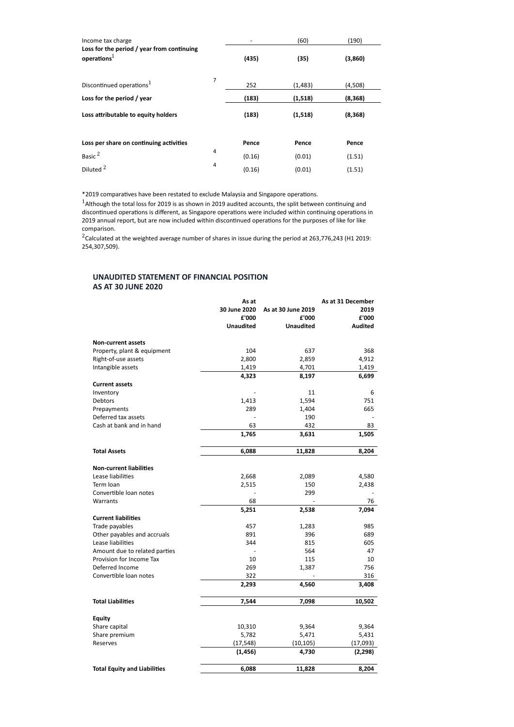| Income tax charge<br>Loss for the period / year from continuing<br>operations $1$ |   |        | (60)     | (190)    |
|-----------------------------------------------------------------------------------|---|--------|----------|----------|
|                                                                                   |   | (435)  | (35)     | (3,860)  |
| Discontinued operations <sup>1</sup>                                              | 7 | 252    | (1,483)  | (4,508)  |
| Loss for the period / year                                                        |   | (183)  | (1,518)  | (8, 368) |
| Loss attributable to equity holders                                               |   | (183)  | (1, 518) | (8, 368) |
| Loss per share on continuing activities                                           |   | Pence  | Pence    | Pence    |
| Basic <sup>2</sup>                                                                | 4 | (0.16) | (0.01)   | (1.51)   |
|                                                                                   |   |        |          |          |

\*2019 comparatives have been restated to exclude Malaysia and Singapore operations.

 $1$ Although the total loss for 2019 is as shown in 2019 audited accounts, the split between continuing and discontinued operations is different, as Singapore operations were included within continuing operations in 2019 annual report, but are now included within discontinued operations for the purposes of like for like comparison.

 $2$ Calculated at the weighted average number of shares in issue during the period at 263,776,243 (H1 2019: 254,307,509).

## **UNAUDITED STATEMENT OF FINANCIAL POSITION AS AT 30 JUNE 2020**

|                                | As at            |                    | As at 31 December |
|--------------------------------|------------------|--------------------|-------------------|
|                                | 30 June 2020     | As at 30 June 2019 | 2019              |
|                                | £'000            | ${\bf f}$ '000     | £'000             |
|                                | <b>Unaudited</b> | <b>Unaudited</b>   | <b>Audited</b>    |
| <b>Non-current assets</b>      |                  |                    |                   |
| Property, plant & equipment    | 104              | 637                | 368               |
| Right-of-use assets            | 2,800            | 2,859              | 4,912             |
| Intangible assets              | 1,419            | 4,701              | 1,419             |
|                                | 4,323            | 8,197              | 6,699             |
| <b>Current assets</b>          |                  |                    |                   |
| Inventory                      |                  | 11                 | 6                 |
| Debtors                        | 1,413            | 1,594              | 751               |
| Prepayments                    | 289              | 1,404              | 665               |
| Deferred tax assets            |                  | 190                |                   |
| Cash at bank and in hand       | 63               | 432                | 83                |
|                                | 1,765            | 3,631              | 1,505             |
| <b>Total Assets</b>            | 6,088            | 11,828             | 8,204             |
| <b>Non-current liabilities</b> |                  |                    |                   |
| Lease liabilities              | 2,668            | 2,089              | 4,580             |
| Term loan                      | 2,515            | 150                | 2,438             |
| Convertible loan notes         |                  | 299                |                   |
| Warrants                       | 68               |                    | 76                |
|                                | 5,251            | 2,538              | 7,094             |
| <b>Current liabilities</b>     |                  |                    |                   |
| Trade payables                 | 457              | 1,283              | 985               |
| Other payables and accruals    | 891              | 396                | 689               |
| Lease liabilities              | 344              | 815                | 605               |

| Amount due to related parties       |           | 564       | 47       |
|-------------------------------------|-----------|-----------|----------|
| Provision for Income Tax            | 10        | 115       | 10       |
| Deferred Income                     | 269       | 1,387     | 756      |
| Convertible loan notes              | 322       |           | 316      |
|                                     | 2,293     | 4,560     | 3,408    |
| <b>Total Liabilities</b>            | 7,544     | 7,098     | 10,502   |
| <b>Equity</b>                       |           |           |          |
| Share capital                       | 10,310    | 9,364     | 9,364    |
| Share premium                       | 5,782     | 5,471     | 5,431    |
| Reserves                            | (17, 548) | (10, 105) | (17,093) |
|                                     | (1, 456)  | 4,730     | (2, 298) |
| <b>Total Equity and Liabilities</b> | 6,088     | 11,828    | 8,204    |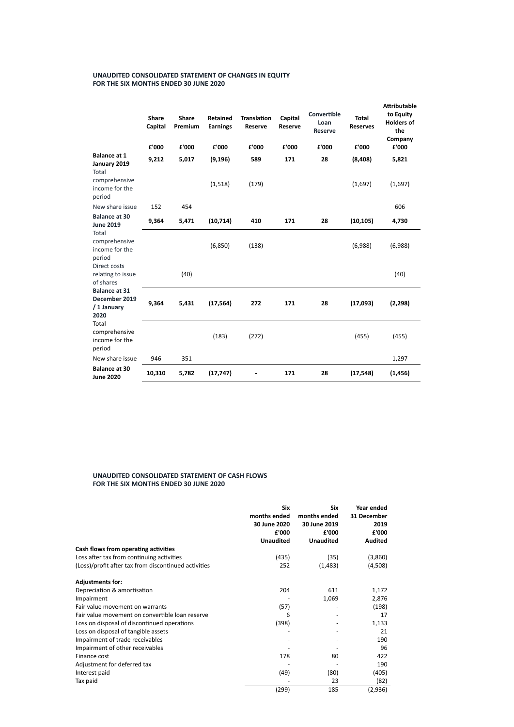## **UNAUDITED CONSOLIDATED STATEMENT OF CHANGES IN EQUITY FOR THE SIX MONTHS ENDED 30 JUNE 2020**

|                                                              | <b>Share</b><br><b>Capital</b><br>£'000 | <b>Share</b><br>Premium<br>£'000 | <b>Retained</b><br><b>Earnings</b><br>£'000 | <b>Translation</b><br><b>Reserve</b><br>£'000 | Capital<br><b>Reserve</b><br>£'000 | Convertible<br>Loan<br><b>Reserve</b><br>£'000 | <b>Total</b><br><b>Reserves</b><br>£'000 | <b>Attributable</b><br>to Equity<br><b>Holders of</b><br>the<br>Company<br>£'000 |
|--------------------------------------------------------------|-----------------------------------------|----------------------------------|---------------------------------------------|-----------------------------------------------|------------------------------------|------------------------------------------------|------------------------------------------|----------------------------------------------------------------------------------|
| <b>Balance at 1</b>                                          | 9,212                                   | 5,017                            | (9, 196)                                    | 589                                           | 171                                | 28                                             | (8, 408)                                 | 5,821                                                                            |
| January 2019<br><b>Total</b>                                 |                                         |                                  |                                             |                                               |                                    |                                                |                                          |                                                                                  |
| comprehensive<br>income for the<br>period                    |                                         |                                  | (1, 518)                                    | (179)                                         |                                    |                                                | (1,697)                                  | (1,697)                                                                          |
| New share issue                                              | 152                                     | 454                              |                                             |                                               |                                    |                                                |                                          | 606                                                                              |
| <b>Balance at 30</b><br><b>June 2019</b>                     | 9,364                                   | 5,471                            | (10, 714)                                   | 410                                           | 171                                | 28                                             | (10, 105)                                | 4,730                                                                            |
| Total<br>comprehensive<br>income for the<br>period           |                                         |                                  | (6,850)                                     | (138)                                         |                                    |                                                | (6,988)                                  | (6,988)                                                                          |
| Direct costs<br>relating to issue<br>of shares               |                                         | (40)                             |                                             |                                               |                                    |                                                |                                          | (40)                                                                             |
| <b>Balance at 31</b><br>December 2019<br>/ 1 January<br>2020 | 9,364                                   | 5,431                            | (17, 564)                                   | 272                                           | 171                                | 28                                             | (17,093)                                 | (2, 298)                                                                         |
| Total<br>comprehensive<br>income for the<br>period           |                                         |                                  | (183)                                       | (272)                                         |                                    |                                                | (455)                                    | (455)                                                                            |
| New share issue                                              | 946                                     | 351                              |                                             |                                               |                                    |                                                |                                          | 1,297                                                                            |
| <b>Balance at 30</b><br><b>June 2020</b>                     | 10,310                                  | 5,782                            | (17, 747)                                   |                                               | 171                                | 28                                             | (17, 548)                                | (1, 456)                                                                         |

## **UNAUDITED CONSOLIDATED STATEMENT OF CASH FLOWS FOR THE SIX MONTHS ENDED 30 JUNE 2020**

| <b>Six</b>       | Six              | Year ended     |
|------------------|------------------|----------------|
| months ended     | months ended     | 31 December    |
| 30 June 2020     | 30 June 2019     | 2019           |
| £'000            | £'000            | £'000          |
| <b>Unaudited</b> | <b>Unaudited</b> | <b>Audited</b> |

**Cash flows from operang acvies**

| Cash flows from operating activities                 |       |          |         |
|------------------------------------------------------|-------|----------|---------|
| Loss after tax from continuing activities            | (435) | (35)     | (3,860) |
| (Loss)/profit after tax from discontinued activities | 252   | (1, 483) | (4,508) |
| <b>Adjustments for:</b>                              |       |          |         |
| Depreciation & amortisation                          | 204   | 611      | 1,172   |
| Impairment                                           |       | 1,069    | 2,876   |
| Fair value movement on warrants                      | (57)  |          | (198)   |
| Fair value movement on convertible loan reserve      | 6     |          | 17      |
| Loss on disposal of discontinued operations          | (398) |          | 1,133   |
| Loss on disposal of tangible assets                  |       |          | 21      |
| Impairment of trade receivables                      |       |          | 190     |
| Impairment of other receivables                      |       |          | 96      |
| Finance cost                                         | 178   | 80       | 422     |
| Adjustment for deferred tax                          |       |          | 190     |
| Interest paid                                        | (49)  | (80)     | (405)   |
| Tax paid                                             |       | 23       | (82)    |
|                                                      | (299) | 185      | (2,936) |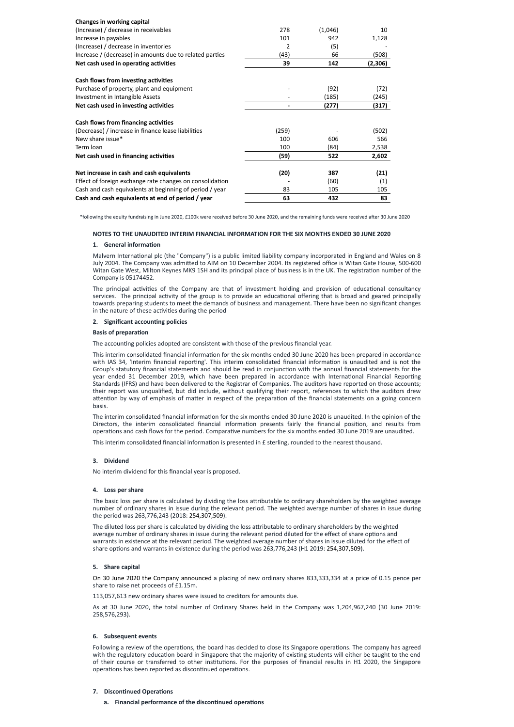| <b>Changes in working capital</b>                        |                |         |         |
|----------------------------------------------------------|----------------|---------|---------|
| (Increase) / decrease in receivables                     | 278            | (1,046) | 10      |
| Increase in payables                                     | 101            | 942     | 1,128   |
| (Increase) / decrease in inventories                     | $\overline{2}$ | (5)     |         |
| Increase / (decrease) in amounts due to related parties  | (43)           | 66      | (508)   |
| Net cash used in operating activities                    | 39             | 142     | (2,306) |
| Cash flows from investing activities                     |                |         |         |
| Purchase of property, plant and equipment                |                | (92)    | (72)    |
| Investment in Intangible Assets                          |                | (185)   | (245)   |
| Net cash used in investing activities                    |                | (277)   | (317)   |
| <b>Cash flows from financing activities</b>              |                |         |         |
| (Decrease) / increase in finance lease liabilities       | (259)          |         | (502)   |
| New share issue*                                         | 100            | 606     | 566     |
| Term loan                                                | 100            | (84)    | 2,538   |
| Net cash used in financing activities                    | (59)           | 522     | 2,602   |
| Net increase in cash and cash equivalents                | (20)           | 387     | (21)    |
| Effect of foreign exchange rate changes on consolidation |                | (60)    | (1)     |
| Cash and cash equivalents at beginning of period / year  | 83             | 105     | 105     |
| Cash and cash equivalents at end of period / year        | 63             | 432     | 83      |

\*following the equity fundraising in June 2020, £100k were received before 30 June 2020, and the remaining funds were received after 30 June 2020

Malvern International plc (the "Company") is a public limited liability company incorporated in England and Wales on 8 July 2004. The Company was admitted to AIM on 10 December 2004. Its registered office is Witan Gate House, 500-600 Witan Gate West, Milton Keynes MK9 1SH and its principal place of business is in the UK. The registration number of the Company is 05174452.

The principal activities of the Company are that of investment holding and provision of educational consultancy services. The principal activity of the group is to provide an educational offering that is broad and geared principally towards preparing students to meet the demands of business and management. There have been no significant changes in the nature of these activities during the period

#### **2.** Significant accounting policies

#### **Basis of preparation**

The accounting policies adopted are consistent with those of the previous financial year.

#### **NOTES TO THE UNAUDITED INTERIM FINANCIAL INFORMATION FOR THE SIX MONTHS ENDED 30 JUNE 2020**

#### **1.** General information

This interim consolidated financial information for the six months ended 30 June 2020 has been prepared in accordance with IAS 34, 'Interim financial reporting'. This interim consolidated financial information is unaudited and is not the Group's statutory financial statements and should be read in conjunction with the annual financial statements for the year ended 31 December 2019, which have been prepared in accordance with International Financial Reporting Standards (IFRS) and have been delivered to the Registrar of Companies. The auditors have reported on those accounts; their report was unqualified, but did include, without qualifying their report, references to which the auditors drew attention by way of emphasis of matter in respect of the preparation of the financial statements on a going concern basis.

The interim consolidated financial information for the six months ended 30 June 2020 is unaudited. In the opinion of the Directors, the interim consolidated financial information presents fairly the financial position, and results from operations and cash flows for the period. Comparative numbers for the six months ended 30 June 2019 are unaudited.

This interim consolidated financial information is presented in  $E$  sterling, rounded to the nearest thousand.

The basic loss per share is calculated by dividing the loss attributable to ordinary shareholders by the weighted average number of ordinary shares in issue during the relevant period. The weighted average number of shares in issue during the period was 263,776,243 (2018: 254,307,509).

The diluted loss per share is calculated by dividing the loss attributable to ordinary shareholders by the weighted average number of ordinary shares in issue during the relevant period diluted for the effect of share options and warrants in existence at the relevant period. The weighted average number of shares in issue diluted for the effect of

share options and warrants in existence during the period was 263,776,243 (H1 2019: 254,307,509)

#### **3. Dividend**

No interim dividend for this financial year is proposed.

#### **4. Loss per share**

#### **5. Share capital**

On 30 June 2020 the Company announced a placing of new ordinary shares 833,333,334 at a price of 0.15 pence per share to raise net proceeds of £1.15m.

113,057,613 new ordinary shares were issued to creditors for amounts due.

As at 30 June 2020, the total number of Ordinary Shares held in the Company was 1,204,967,240 (30 June 2019: 258,576,293).

#### **6. Subsequent events**

Following a review of the operations, the board has decided to close its Singapore operations. The company has agreed with the regulatory education board in Singapore that the majority of existing students will either be taught to the end of their course or transferred to other institutions. For the purposes of financial results in H1 2020, the Singapore operations has been reported as discontinued operations.

### **7.** Discontinued Operations

**a.** Financial performance of the discontinued operations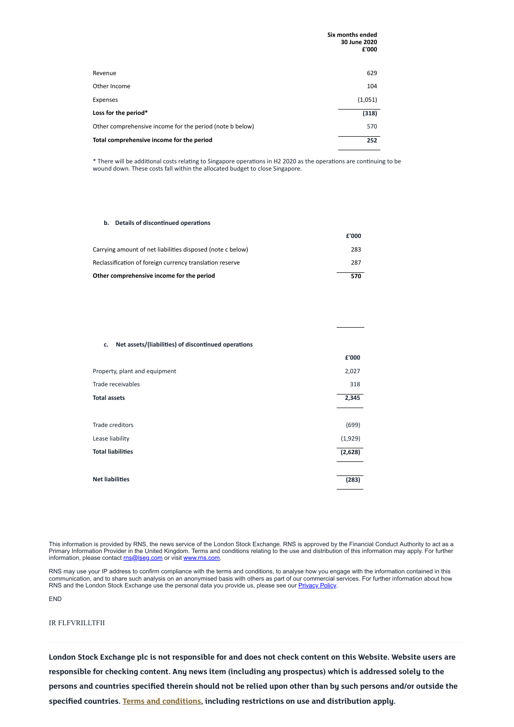|                                                          | Six months ended<br>30 June 2020<br>£'000 |
|----------------------------------------------------------|-------------------------------------------|
| Revenue                                                  | 629                                       |
| Other Income                                             | 104                                       |
| Expenses                                                 | (1,051)                                   |
| Loss for the period*                                     | (318)                                     |
| Other comprehensive income for the period (note b below) | 570                                       |
| Total comprehensive income for the period                | 252                                       |

\* There will be additional costs relating to Singapore operations in H2 2020 as the operations are continuing to be wound down. These costs fall within the allocated budget to close Singapore.

#### **b.** Details of discontinued operations

Primary Information Provider in the United Kingdom. Terms and conditions relating to the use and distribution of this information may apply. For further information, please contact [rns@lseg.com](mailto:rns@lseg.com) or visit [www.rns.com.](http://www.rns.com/)

|                                                            | £'000 |
|------------------------------------------------------------|-------|
| Carrying amount of net liabilities disposed (note c below) | 283   |
| Reclassification of foreign currency translation reserve   | 287   |
| Other comprehensive income for the period                  | 570   |

#### **c.** Net assets/(liabilities) of discontinued operations

RNS may use your IP address to confirm compliance with the terms and conditions, to analyse how you engage with the information contained in this communication, and to share such analysis on an anonymised basis with others as part of our commercial services. For further information about how RNS and the London Stock Exchange use the personal data you provide us, please see our **[Privacy](https://www.lseg.com/privacy-and-cookie-policy) Policy**.

|                               | £'000   |
|-------------------------------|---------|
| Property, plant and equipment | 2,027   |
| Trade receivables             | 318     |
| <b>Total assets</b>           | 2,345   |
|                               |         |
| Trade creditors               | (699)   |
| Lease liability               | (1,929) |
| <b>Total liabilities</b>      | (2,628) |
|                               |         |
| <b>Net liabilities</b>        | (283)   |

END

IR FLFVRILLTFII

London Stock Exchange plc is not responsible for and does not check content on this Website. Website users are **responsible for checking content. Any news item (including any prospectus) which is addressed solely to the** persons and countries specified therein should not be relied upon other than by such persons and/or outside the **specified countries.** Terms and [conditions,](https://www.londonstockexchange.com/disclaimer) including restrictions on use and distribution apply.